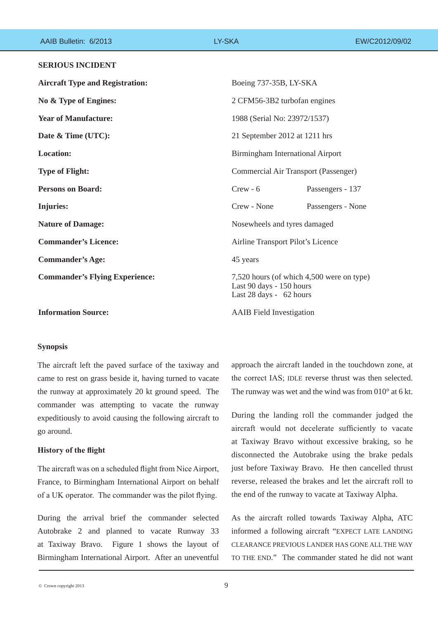| AAIB Bulletin: 6/2013                  | LY-SKA      | EW/C2012/09/02                                                                                   |  |
|----------------------------------------|-------------|--------------------------------------------------------------------------------------------------|--|
| <b>SERIOUS INCIDENT</b>                |             |                                                                                                  |  |
| <b>Aircraft Type and Registration:</b> |             | Boeing 737-35B, LY-SKA                                                                           |  |
| No & Type of Engines:                  |             | 2 CFM56-3B2 turbofan engines                                                                     |  |
| <b>Year of Manufacture:</b>            |             | 1988 (Serial No: 23972/1537)                                                                     |  |
| Date & Time (UTC):                     |             | 21 September 2012 at 1211 hrs                                                                    |  |
| <b>Location:</b>                       |             | Birmingham International Airport                                                                 |  |
| <b>Type of Flight:</b>                 |             | Commercial Air Transport (Passenger)                                                             |  |
| <b>Persons on Board:</b>               | $Crew - 6$  | Passengers - 137                                                                                 |  |
| <b>Injuries:</b>                       | Crew - None | Passengers - None                                                                                |  |
| <b>Nature of Damage:</b>               |             | Nosewheels and tyres damaged                                                                     |  |
| <b>Commander's Licence:</b>            |             | Airline Transport Pilot's Licence                                                                |  |
| <b>Commander's Age:</b>                | 45 years    |                                                                                                  |  |
| <b>Commander's Flying Experience:</b>  |             | 7,520 hours (of which 4,500 were on type)<br>Last 90 days - 150 hours<br>Last 28 days - 62 hours |  |
| <b>Information Source:</b>             |             | <b>AAIB</b> Field Investigation                                                                  |  |

### **Synopsis**

The aircraft left the paved surface of the taxiway and came to rest on grass beside it, having turned to vacate the runway at approximately 20 kt ground speed. The commander was attempting to vacate the runway expeditiously to avoid causing the following aircraft to go around.

### **History of the flight**

The aircraft was on a scheduled flight from Nice Airport, France, to Birmingham International Airport on behalf of a UK operator. The commander was the pilot flying.

During the arrival brief the commander selected Autobrake 2 and planned to vacate Runway 33 at Taxiway Bravo. Figure 1 shows the layout of Birmingham International Airport. After an uneventful

approach the aircraft landed in the touchdown zone, at the correct IAS; IDLE reverse thrust was then selected. The runway was wet and the wind was from 010° at 6 kt.

During the landing roll the commander judged the aircraft would not decelerate sufficiently to vacate at Taxiway Bravo without excessive braking, so he disconnected the Autobrake using the brake pedals just before Taxiway Bravo. He then cancelled thrust reverse, released the brakes and let the aircraft roll to the end of the runway to vacate at Taxiway Alpha.

As the aircraft rolled towards Taxiway Alpha, ATC informed a following aircraft "EXPECT LATE LANDING CLEARANCE PREVIOUS LANDER HAS GONE ALL THE WAY TO THE END." The commander stated he did not want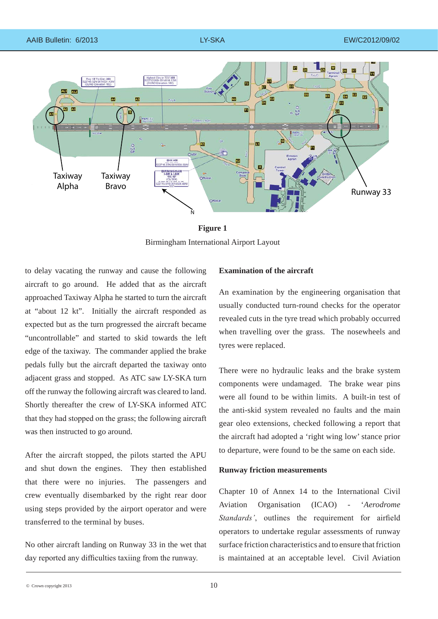

**Figure 1** Birmingham International Airport Layout

to delay vacating the runway and cause the following aircraft to go around. He added that as the aircraft approached Taxiway Alpha he started to turn the aircraft at "about 12 kt". Initially the aircraft responded as expected but as the turn progressed the aircraft became "uncontrollable" and started to skid towards the left edge of the taxiway. The commander applied the brake pedals fully but the aircraft departed the taxiway onto adjacent grass and stopped. As ATC saw LY-SKA turn off the runway the following aircraft was cleared to land. Shortly thereafter the crew of LY-SKA informed ATC that they had stopped on the grass; the following aircraft was then instructed to go around.

After the aircraft stopped, the pilots started the APU and shut down the engines. They then established that there were no injuries. The passengers and crew eventually disembarked by the right rear door using steps provided by the airport operator and were transferred to the terminal by buses.

No other aircraft landing on Runway 33 in the wet that day reported any difficulties taxiing from the runway.

# **Examination of the aircraft**

An examination by the engineering organisation that usually conducted turn-round checks for the operator revealed cuts in the tyre tread which probably occurred when travelling over the grass. The nosewheels and tyres were replaced.

There were no hydraulic leaks and the brake system components were undamaged. The brake wear pins were all found to be within limits. A built-in test of the anti-skid system revealed no faults and the main gear oleo extensions, checked following a report that the aircraft had adopted a 'right wing low' stance prior to departure, were found to be the same on each side.

## **Runway friction measurements**

Chapter 10 of Annex 14 to the International Civil Aviation Organisation (ICAO) - '*Aerodrome Standards'*, outlines the requirement for airfield operators to undertake regular assessments of runway surface friction characteristics and to ensure that friction is maintained at an acceptable level. Civil Aviation

 $\degree$  Crown copyright 2013  $\degree$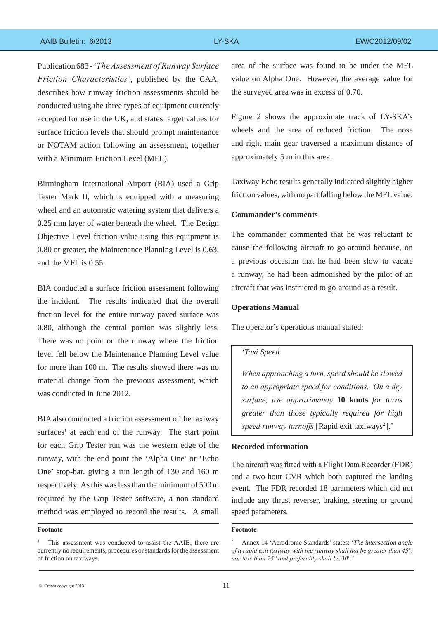### AAIB Bulletin: 6/2013 LY-SKA EW/C2012/09/02

Publication 683 - '*The Assessment of Runway Surface Friction Characteristics'*, published by the CAA, describes how runway friction assessments should be conducted using the three types of equipment currently accepted for use in the UK, and states target values for surface friction levels that should prompt maintenance or NOTAM action following an assessment, together with a Minimum Friction Level (MFL).

Birmingham International Airport (BIA) used a Grip Tester Mark II, which is equipped with a measuring wheel and an automatic watering system that delivers a 0.25 mm layer of water beneath the wheel. The Design Objective Level friction value using this equipment is 0.80 or greater, the Maintenance Planning Level is 0.63, and the MFL is 0.55.

BIA conducted a surface friction assessment following the incident. The results indicated that the overall friction level for the entire runway paved surface was 0.80, although the central portion was slightly less. There was no point on the runway where the friction level fell below the Maintenance Planning Level value for more than 100 m. The results showed there was no material change from the previous assessment, which was conducted in June 2012.

BIA also conducted a friction assessment of the taxiway surfaces<sup>1</sup> at each end of the runway. The start point for each Grip Tester run was the western edge of the runway, with the end point the 'Alpha One' or 'Echo One' stop-bar, giving a run length of 130 and 160 m respectively. As this was less than the minimum of 500 m required by the Grip Tester software, a non-standard method was employed to record the results. A small

#### **Footnote**

area of the surface was found to be under the MFL value on Alpha One. However, the average value for the surveyed area was in excess of 0.70.

Figure 2 shows the approximate track of LY-SKA's wheels and the area of reduced friction. The nose and right main gear traversed a maximum distance of approximately 5 m in this area.

Taxiway Echo results generally indicated slightly higher friction values, with no part falling below the MFL value.

### **Commander's comments**

The commander commented that he was reluctant to cause the following aircraft to go-around because, on a previous occasion that he had been slow to vacate a runway, he had been admonished by the pilot of an aircraft that was instructed to go-around as a result.

### **Operations Manual**

The operator's operations manual stated:

#### *'Taxi Speed*

*When approaching a turn, speed should be slowed to an appropriate speed for conditions. On a dry surface, use approximately* **10 knots** *for turns greater than those typically required for high*  speed runway turnoffs [Rapid exit taxiways<sup>2</sup>].'

## **Recorded information**

The aircraft was fitted with a Flight Data Recorder (FDR) and a two-hour CVR which both captured the landing event. The FDR recorded 18 parameters which did not include any thrust reverser, braking, steering or ground speed parameters.

#### **Footnote**

<sup>&</sup>lt;sup>1</sup> This assessment was conducted to assist the AAIB; there are currently no requirements, procedures or standards for the assessment of friction on taxiways.

<sup>2</sup> Annex 14 'Aerodrome Standards' states: '*The intersection angle of a rapid exit taxiway with the runway shall not be greater than 45°. nor less than 25° and preferably shall be 30°.*'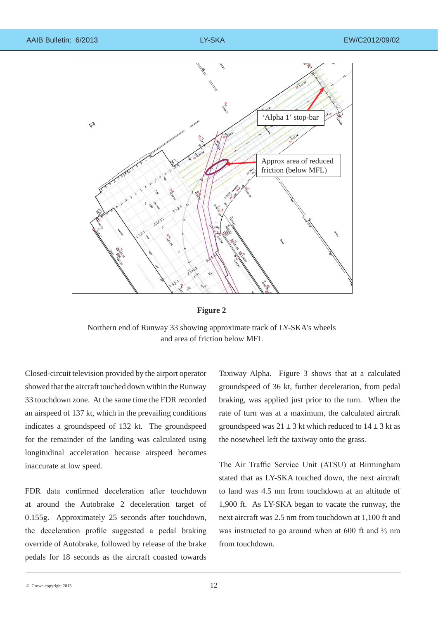



Northern end of Runway 33 showing approximate track of LY-SKA's wheels and area of friction below MFL

Closed-circuit television provided by the airport operator showed that the aircraft touched down within the Runway 33 touchdown zone. At the same time the FDR recorded an airspeed of 137 kt, which in the prevailing conditions indicates a groundspeed of 132 kt. The groundspeed for the remainder of the landing was calculated using longitudinal acceleration because airspeed becomes inaccurate at low speed.

FDR data confirmed deceleration after touchdown at around the Autobrake 2 deceleration target of 0.155g. Approximately 25 seconds after touchdown, the deceleration profile suggested a pedal braking override of Autobrake, followed by release of the brake pedals for 18 seconds as the aircraft coasted towards Taxiway Alpha. Figure 3 shows that at a calculated groundspeed of 36 kt, further deceleration, from pedal braking, was applied just prior to the turn. When the rate of turn was at a maximum, the calculated aircraft groundspeed was  $21 \pm 3$  kt which reduced to  $14 \pm 3$  kt as the nosewheel left the taxiway onto the grass.

The Air Traffic Service Unit (ATSU) at Birmingham stated that as LY-SKA touched down, the next aircraft to land was 4.5 nm from touchdown at an altitude of 1,900 ft. As LY-SKA began to vacate the runway, the next aircraft was 2.5 nm from touchdown at 1,100 ft and was instructed to go around when at 600 ft and ⅔ nm from touchdown.